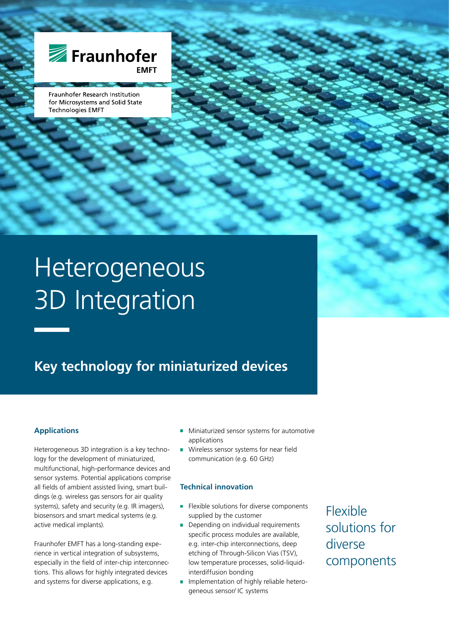

Fraunhofer Research Institution for Microsystems and Solid State **Technologies EMFT** 

# Heterogeneous 3D Integration

# **Key technology for miniaturized devices**

#### **Applications**

Heterogeneous 3D integration is a key technology for the development of miniaturized, multifunctional, high-performance devices and sensor systems. Potential applications comprise all fields of ambient assisted living, smart buildings (e.g. wireless gas sensors for air quality systems), safety and security (e.g. IR imagers), biosensors and smart medical systems (e.g. active medical implants).

Fraunhofer EMFT has a long-standing experience in vertical integration of subsystems, especially in the field of inter-chip interconnections. This allows for highly integrated devices and systems for diverse applications, e.g.

- Miniaturized sensor systems for automotive  $\overline{\phantom{a}}$ applications
- Wireless sensor systems for near field  $\overline{\phantom{a}}$ communication (e.g. 60 GHz)

#### **Technical innovation**

- **Flexible solutions for diverse components** supplied by the customer
- Depending on individual requirements  $\overline{\phantom{a}}$ specific process modules are available, e.g. inter-chip interconnections, deep etching of Through-Silicon Vias (TSV), low temperature processes, solid-liquidinterdiffusion bonding
- **Implementation of highly reliable hetero**geneous sensor/ IC systems

Flexible solutions for diverse components